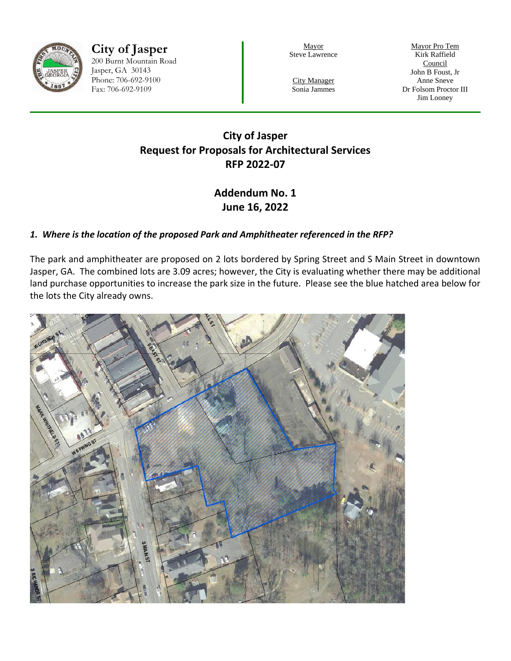

**City of Jasper** 200 Burnt Mountain Road Jasper, GA 30143 Phone: 706-692-9100 Fax: 706-692-9109

Mayor Steve Lawrence

Mayor Pro Tem Kirk Raffield **Council** John B Foust, Jr Anne Sneve Dr Folsom Proctor III Jim Looney

City Manager Sonia Jammes

# **City of Jasper Request for Proposals for Architectural Services RFP 2022-07**

# **Addendum No. 1 June 16, 2022**

### *1. Where is the location of the proposed Park and Amphitheater referenced in the RFP?*

The park and amphitheater are proposed on 2 lots bordered by Spring Street and S Main Street in downtown Jasper, GA. The combined lots are 3.09 acres; however, the City is evaluating whether there may be additional land purchase opportunities to increase the park size in the future. Please see the blue hatched area below for the lots the City already owns.

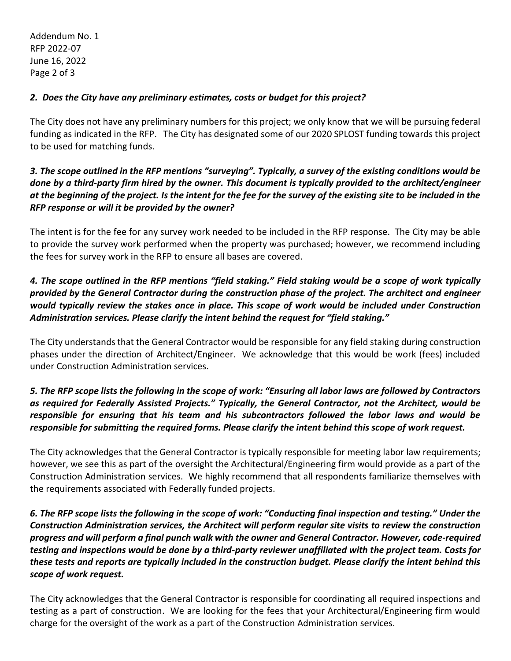Addendum No. 1 RFP 2022-07 June 16, 2022 Page 2 of 3

#### *2. Does the City have any preliminary estimates, costs or budget for this project?*

The City does not have any preliminary numbers for this project; we only know that we will be pursuing federal funding as indicated in the RFP. The City has designated some of our 2020 SPLOST funding towards this project to be used for matching funds.

### *3. The scope outlined in the RFP mentions "surveying". Typically, a survey of the existing conditions would be done by a third-party firm hired by the owner. This document is typically provided to the architect/engineer at the beginning of the project. Is the intent for the fee for the survey of the existing site to be included in the RFP response or will it be provided by the owner?*

The intent is for the fee for any survey work needed to be included in the RFP response. The City may be able to provide the survey work performed when the property was purchased; however, we recommend including the fees for survey work in the RFP to ensure all bases are covered.

# *4. The scope outlined in the RFP mentions "field staking." Field staking would be a scope of work typically provided by the General Contractor during the construction phase of the project. The architect and engineer would typically review the stakes once in place. This scope of work would be included under Construction Administration services. Please clarify the intent behind the request for "field staking."*

The City understands that the General Contractor would be responsible for any field staking during construction phases under the direction of Architect/Engineer. We acknowledge that this would be work (fees) included under Construction Administration services.

### *5. The RFP scope lists the following in the scope of work: "Ensuring all labor laws are followed by Contractors as required for Federally Assisted Projects." Typically, the General Contractor, not the Architect, would be responsible for ensuring that his team and his subcontractors followed the labor laws and would be responsible for submitting the required forms. Please clarify the intent behind this scope of work request.*

The City acknowledges that the General Contractor is typically responsible for meeting labor law requirements; however, we see this as part of the oversight the Architectural/Engineering firm would provide as a part of the Construction Administration services. We highly recommend that all respondents familiarize themselves with the requirements associated with Federally funded projects.

# *6. The RFP scope lists the following in the scope of work: "Conducting final inspection and testing." Under the Construction Administration services, the Architect will perform regular site visits to review the construction progress and will perform a final punch walk with the owner and General Contractor. However, code-required testing and inspections would be done by a third-party reviewer unaffiliated with the project team. Costs for these tests and reports are typically included in the construction budget. Please clarify the intent behind this scope of work request.*

The City acknowledges that the General Contractor is responsible for coordinating all required inspections and testing as a part of construction. We are looking for the fees that your Architectural/Engineering firm would charge for the oversight of the work as a part of the Construction Administration services.